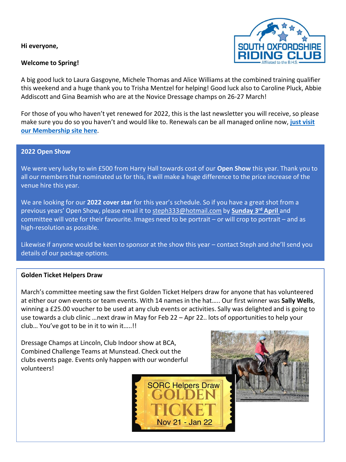**Hi everyone,**

#### **Welcome to Spring!**



A big good luck to Laura Gasgoyne, Michele Thomas and Alice Williams at the combined training qualifier this weekend and a huge thank you to Trisha Mentzel for helping! Good luck also to Caroline Pluck, Abbie Addiscott and Gina Beamish who are at the Novice Dressage champs on 26-27 March!

For those of you who haven't yet renewed for 2022, this is the last newsletter you will receive, so please [make sure you do so you haven't and would like to. Renewals can be all managed online now,](https://membermojo.co.uk/sorc) **just visit our Membership site here**.

#### **2022 Open Show**

We were very lucky to win £500 from Harry Hall towards cost of our **Open Show** this year. Thank you to all our members that nominated us for this, it will make a huge difference to the price increase of the venue hire this year.

We are looking for our **2022 cover star** for this year's schedule. So if you have a great shot from a previous years' Open Show, please email it to [steph333@hotmail.com](mailto:steph333@hotmail.com) by **Sunday 3rd April** and committee will vote for their favourite. Images need to be portrait – or will crop to portrait – and as high-resolution as possible.

Likewise if anyone would be keen to sponsor at the show this year – contact Steph and she'll send you details of our package options.

#### **Golden Ticket Helpers Draw**

March's committee meeting saw the first Golden Ticket Helpers draw for anyone that has volunteered at either our own events or team events. With 14 names in the hat….. Our first winner was **Sally Wells**, winning a £25.00 voucher to be used at any club events or activities. Sally was delighted and is going to use towards a club clinic …next draw in May for Feb 22 – Apr 22.. lots of opportunities to help your club… You've got to be in it to win it…..!!

Nov 21 - Jan 22

Dressage Champs at Lincoln, Club Indoor show at BCA, Combined Challenge Teams at Munstead. Check out the clubs events page. Events only happen with our wonderful volunteers!

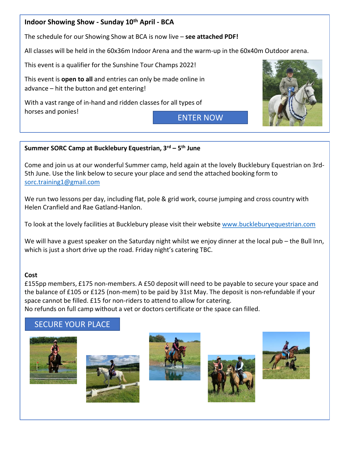## **Indoor Showing Show - Sunday 10th April - BCA**

The schedule for our Showing Show at BCA is now live – **see attached PDF!**

All classes will be held in the 60x36m Indoor Arena and the warm-up in the 60x40m Outdoor arena.

This event is a qualifier for the Sunshine Tour Champs 2022!

This event is **open to all** and entries can only be made online in advance – hit the button and get entering!

With a vast range of in-hand and ridden classes for all types of horses and ponies!

[ENTER NOW](https://www.myridinglife.com/eventdetails.aspx?id=370290)



#### **Summer SORC Camp at Bucklebury Equestrian, 3rd – 5 th June**

Come and join us at our wonderful Summer camp, held again at the lovely Bucklebury Equestrian on 3rd-5th June. Use the link below to secure your place and send the attached booking form to [sorc.training1@gmail.com](mailto:sorc.training1@gmail.com)

We run two lessons per day, including flat, pole & grid work, course jumping and cross country with Helen Cranfield and Rae Gatland-Hanlon.

To look at the lovely facilities at Bucklebury please visit their website [www.buckleburyequestrian.com](http://www.buckleburyequestrian.com/?fbclid=IwAR2J5KK1XtdZSGjhKp__9qdguSXV0QsT7jhZ4ZGM8F8NRiab4TPue8fYzYE)

We will have a guest speaker on the Saturday night whilst we enjoy dinner at the local pub – the Bull Inn, which is just a short drive up the road. Friday night's catering TBC.

#### **Cost**

£155pp members, £175 non-members. A £50 deposit will need to be payable to secure your space and the balance of £105 or £125 (non-mem) to be paid by 31st May. The deposit is non-refundable if your space cannot be filled. £15 for non-riders to attend to allow for catering. No refunds on full camp without a vet or doctors certificate or the space can filled.

## [SECURE YOUR PLACE](https://l.facebook.com/l.php?u=https%3A%2F%2Fwww.myridinglife.com%2Feventdetails.aspx%3Fid%3D376187%26fbclid%3DIwAR0KY7Jyx5Oi0qo3bC_OXUgzsfQQTOoIOJK0bebn5ndqpgXDakVoPjbmdiw&h=AT3U_IEHRXvpfxKRb79-YIX3ux3c7m83Kd5n7HK-5X_FF3wgIw4ogq5ULeCwk2rsU8JyZ0S-H_2ORUeYlCDRBjsN-hVS_u251wWM9G0oEpYY6OJLdASoWK1Z2VgO7VSNoA&__tn__=q&c%5b0%5d=AT3eG4tlIWXktkSi4D7pzd-CZZ4Xi5ini8rCg0kUBtvMbreBTNPVYtrz-FgpsUmJ8WYU4YqAJ9ZRDcap65qRGLWYrWP8noBYaQDzJJX37fzHZAoBWmvMBBspbJB7tw7M_tQ)









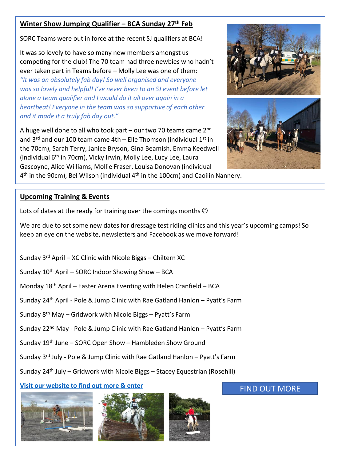## **Winter Show Jumping Qualifier – BCA Sunday 27th Feb**

SORC Teams were out in force at the recent SJ qualifiers at BCA!

It was so lovely to have so many new members amongst us competing for the club! The 70 team had three newbies who hadn't ever taken part in Teams before – Molly Lee was one of them: *"It was an absolutely fab day! So well organised and everyone was so lovely and helpful! I've never been to an SJ event before let alone a team qualifier and I would do it all over again in a heartbeat! Everyone in the team was so supportive of each other and it made it a truly fab day out."*

A huge well done to all who took part – our two 70 teams came  $2^{nd}$ and  $3^{rd}$  and our 100 team came 4th – Elle Thomson (individual  $1^{st}$  in the 70cm), Sarah Terry, Janice Bryson, Gina Beamish, Emma Keedwell (individual 6th in 70cm), Vicky Irwin, Molly Lee, Lucy Lee, Laura Gascoyne, Alice Williams, Mollie Fraser, Louisa Donovan (individual



### **Upcoming Training & Events**

Lots of dates at the ready for training over the comings months  $\odot$ 

We are due to set some new dates for dressage test riding clinics and this year's upcoming camps! So keep an eye on the website, newsletters and Facebook as we move forward!

- Sunday  $3^{rd}$  April XC Clinic with Nicole Biggs Chiltern XC
- Sunday  $10^{th}$  April SORC Indoor Showing Show BCA
- Monday  $18<sup>th</sup>$  April Easter Arena Eventing with Helen Cranfield BCA
- Sunday 24th April Pole & Jump Clinic with Rae Gatland Hanlon Pyatt's Farm
- Sunday 8th May Gridwork with Nicole Biggs Pyatt's Farm
- Sunday 22<sup>nd</sup> May Pole & Jump Clinic with Rae Gatland Hanlon Pyatt's Farm
- Sunday 19th June SORC Open Show Hambleden Show Ground
- Sunday 3rd July Pole & Jump Clinic with Rae Gatland Hanlon Pyatt's Farm
- Sunday 24<sup>th</sup> July Gridwork with Nicole Biggs Stacey Equestrian (Rosehill)

# **[Visit our website to find out more & enter](https://www.sorc.biz/events-1)** [FIND OUT MORE](https://www.sorc.biz/events-1)